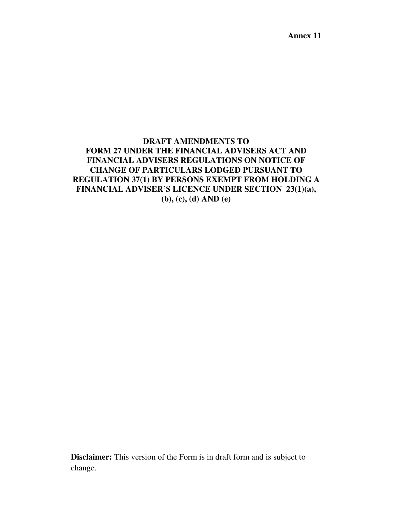**Annex 11** 

# **DRAFT AMENDMENTS TO FORM 27 UNDER THE FINANCIAL ADVISERS ACT AND FINANCIAL ADVISERS REGULATIONS ON NOTICE OF CHANGE OF PARTICULARS LODGED PURSUANT TO REGULATION 37(1) BY PERSONS EXEMPT FROM HOLDING A FINANCIAL ADVISER'S LICENCE UNDER SECTION 23(1)(a), (b), (c), (d) AND (e)**

**Disclaimer:** This version of the Form is in draft form and is subject to change.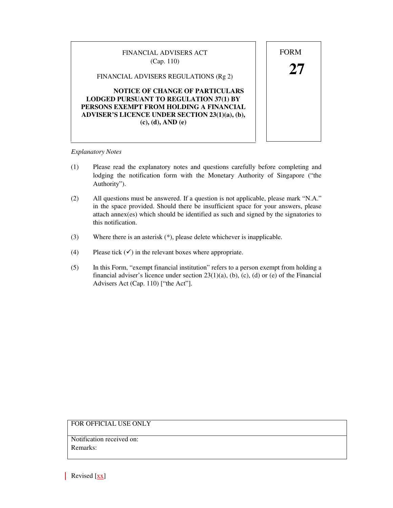| FINANCIAL ADVISERS ACT<br>(Cap. 110)                                                                                                                                                                             | <b>FORM</b> |
|------------------------------------------------------------------------------------------------------------------------------------------------------------------------------------------------------------------|-------------|
| FINANCIAL ADVISERS REGULATIONS (Rg 2)                                                                                                                                                                            |             |
| <b>NOTICE OF CHANGE OF PARTICULARS</b><br><b>LODGED PURSUANT TO REGULATION 37(1) BY</b><br>PERSONS EXEMPT FROM HOLDING A FINANCIAL<br><b>ADVISER'S LICENCE UNDER SECTION 23(1)(a), (b),</b><br>(c), (d), AND (e) |             |
|                                                                                                                                                                                                                  |             |

#### *Explanatory Notes*

- (1) Please read the explanatory notes and questions carefully before completing and lodging the notification form with the Monetary Authority of Singapore ("the Authority").
- (2) All questions must be answered. If a question is not applicable, please mark "N.A." in the space provided. Should there be insufficient space for your answers, please attach annex(es) which should be identified as such and signed by the signatories to this notification.
- (3) Where there is an asterisk (\*), please delete whichever is inapplicable.
- (4) Please tick  $(\checkmark)$  in the relevant boxes where appropriate.
- (5) In this Form, "exempt financial institution" refers to a person exempt from holding a financial adviser's licence under section  $23(1)(a)$ , (b), (c), (d) or (e) of the Financial Advisers Act (Cap. 110) ["the Act"].

## FOR OFFICIAL USE ONLY

Notification received on: Remarks:

Revised  $[xx]$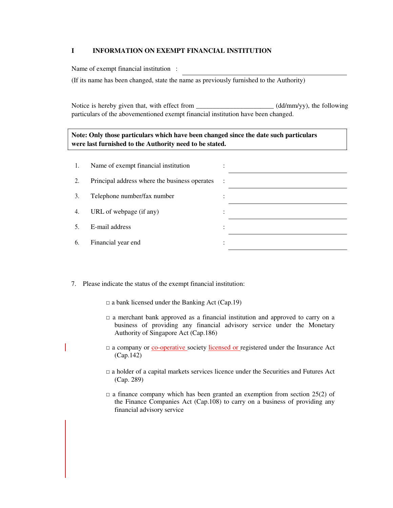#### **I INFORMATION ON EXEMPT FINANCIAL INSTITUTION**

Name of exempt financial institution :

(If its name has been changed, state the name as previously furnished to the Authority)

Notice is hereby given that, with effect from \_\_\_\_\_\_\_\_\_\_\_\_\_\_\_\_\_\_\_\_\_\_\_\_\_\_\_\_\_\_\_\_\_\_ (dd/mm/yy), the following particulars of the abovementioned exempt financial institution have been changed.

### **Note: Only those particulars which have been changed since the date such particulars were last furnished to the Authority need to be stated.**

| 1.  | Name of exempt financial institution          |                |  |
|-----|-----------------------------------------------|----------------|--|
| 2.  | Principal address where the business operates | $\ddot{\cdot}$ |  |
| 3.  | Telephone number/fax number                   |                |  |
| 4.  | URL of webpage (if any)                       | $\bullet$      |  |
| .5. | E-mail address                                | $\bullet$      |  |
| 6.  | Financial year end                            |                |  |

- 7. Please indicate the status of the exempt financial institution:
	- $\Box$  a bank licensed under the Banking Act (Cap.19)
	- $\Box$  a merchant bank approved as a financial institution and approved to carry on a business of providing any financial advisory service under the Monetary Authority of Singapore Act (Cap.186)
	- □ a company or <u>co-operative</u> society licensed or registered under the Insurance Act (Cap.142)
	- $\Box$  a holder of a capital markets services licence under the Securities and Futures Act (Cap. 289)
	- $\Box$  a finance company which has been granted an exemption from section 25(2) of the Finance Companies Act (Cap.108) to carry on a business of providing any financial advisory service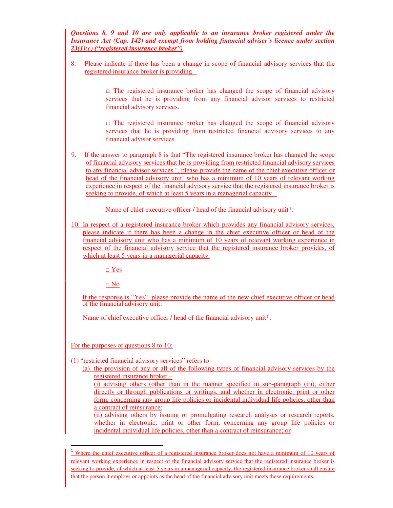*Questions 8, 9 and 10 are only applicable to an insurance broker registered under the Insurance Act (Cap. 142) and exempt from holding financial adviser's licence under section 23(1)(c) ("registered insurance broker")* 

- 8. Please indicate if there has been a change in scope of financial advisory services that the registered insurance broker is providing –
	- $\Box$  The registered insurance broker has changed the scope of financial advisory services that he is providing from any financial advisor services to restricted financial advisory services.
	- $\Box$  The registered insurance broker has changed the scope of financial advisory services that he is providing from restricted financial advisory services to any financial advisor services.
- 9. If the answer to paragraph 8 is that "The registered insurance broker has changed the scope of financial advisory services that he is providing from restricted financial advisory services to any financial advisor services.", please provide the name of the chief executive officer or head of the financial advisory unit<sup>1</sup> who has a minimum of 10 years of relevant working experience in respect of the financial advisory service that the registered insurance broker is seeking to provide, of which at least 5 years in a managerial capacity  $\pm$

Name of chief executive officer / head of the financial advisory unit\*:

10. In respect of a registered insurance broker which provides any financial advisory services, please indicate if there has been a change in the chief executive officer or head of the financial advisory unit who has a minimum of 10 years of relevant working experience in respect of the financial advisory service that the registered insurance broker provides, of which at least 5 years in a managerial capacity.

□ Yes

□ No

If the response is "Yes", please provide the name of the new chief executive officer or head of the financial advisory unit:

Name of chief executive officer / head of the financial advisory unit\*:

For the purposes of questions 8 to 10:

l

(1) "restricted financial advisory services" refers to  $-$ 

(a) the provision of any or all of the following types of financial advisory services by the registered insurance broker –

(i) advising others (other than in the manner specified in sub-paragraph (ii)), either directly or through publications or writings, and whether in electronic, print or other form, concerning any group life policies or incidental individual life policies, other than a contract of reinsurance;

(ii) advising others by issuing or promulgating research analyses or research reports, whether in electronic, print or other form, concerning any group life policies or incidental individual life policies, other than a contract of reinsurance; or

<sup>&</sup>lt;sup>1</sup> Where the chief executive officer of a registered insurance broker does not have a minimum of 10 years of relevant working experience in respect of the financial advisory service that the registered insurance broker is seeking to provide, of which at least 5 years in a managerial capacity, the registered insurance broker shall ensure that the person it employs or appoints as the head of the financial advisory unit meets these requirements.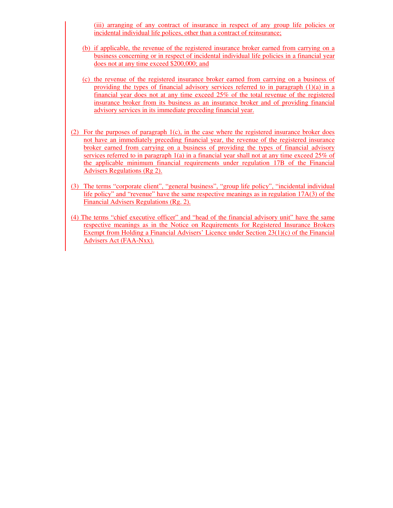(iii) arranging of any contract of insurance in respect of any group life policies or incidental individual life polices, other than a contract of reinsurance;

- (b) if applicable, the revenue of the registered insurance broker earned from carrying on a business concerning or in respect of incidental individual life policies in a financial year does not at any time exceed \$200,000; and
- (c) the revenue of the registered insurance broker earned from carrying on a business of providing the types of financial advisory services referred to in paragraph  $(1)(a)$  in a financial year does not at any time exceed 25% of the total revenue of the registered insurance broker from its business as an insurance broker and of providing financial advisory services in its immediate preceding financial year.
- (2) For the purposes of paragraph  $1(c)$ , in the case where the registered insurance broker does not have an immediately preceding financial year, the revenue of the registered insurance broker earned from carrying on a business of providing the types of financial advisory services referred to in paragraph 1(a) in a financial year shall not at any time exceed 25% of the applicable minimum financial requirements under regulation 17B of the Financial Advisers Regulations (Rg 2).
- (3) The terms "corporate client", "general business", "group life policy", "incidental individual life policy" and "revenue" have the same respective meanings as in regulation 17A(3) of the Financial Advisers Regulations (Rg. 2).
- (4) The terms "chief executive officer" and "head of the financial advisory unit" have the same respective meanings as in the Notice on Requirements for Registered Insurance Brokers Exempt from Holding a Financial Advisers' Licence under Section 23(1)(c) of the Financial Advisers Act (FAA-Nxx).